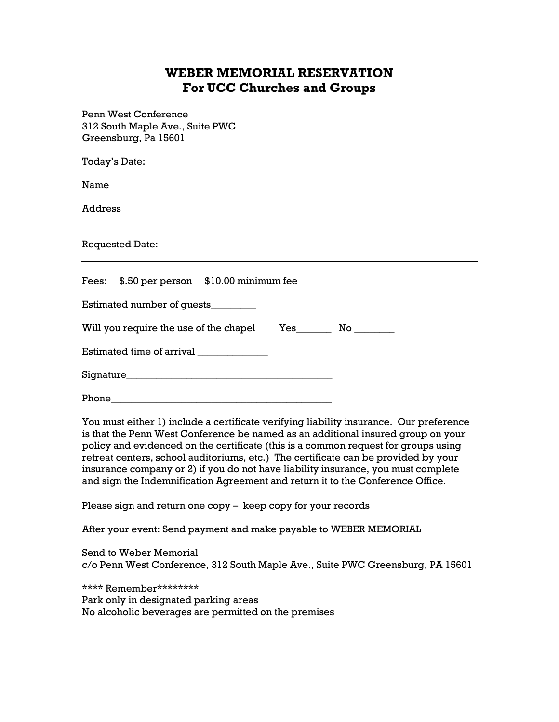## **WEBER MEMORIAL RESERVATION For UCC Churches and Groups**

Penn West Conference 312 South Maple Ave., Suite PWC Greensburg, Pa 15601

Today's Date:

Name

Address

Requested Date:

|                                        |  | Fees: \$.50 per person \$10.00 minimum fee |  |                               |  |
|----------------------------------------|--|--------------------------------------------|--|-------------------------------|--|
| Estimated number of guests             |  |                                            |  |                               |  |
| Will you require the use of the chapel |  |                                            |  | $Yes \qquad No \qquad \qquad$ |  |
| Estimated time of arrival              |  |                                            |  |                               |  |
|                                        |  |                                            |  |                               |  |

Phone

You must either 1) include a certificate verifying liability insurance. Our preference is that the Penn West Conference be named as an additional insured group on your policy and evidenced on the certificate (this is a common request for groups using retreat centers, school auditoriums, etc.) The certificate can be provided by your insurance company or 2) if you do not have liability insurance, you must complete and sign the Indemnification Agreement and return it to the Conference Office.

Please sign and return one copy – keep copy for your records

After your event: Send payment and make payable to WEBER MEMORIAL

Send to Weber Memorial c/o Penn West Conference, 312 South Maple Ave., Suite PWC Greensburg, PA 15601

\*\*\*\* Remember\*\*\*\*\*\*\*\*

Park only in designated parking areas No alcoholic beverages are permitted on the premises